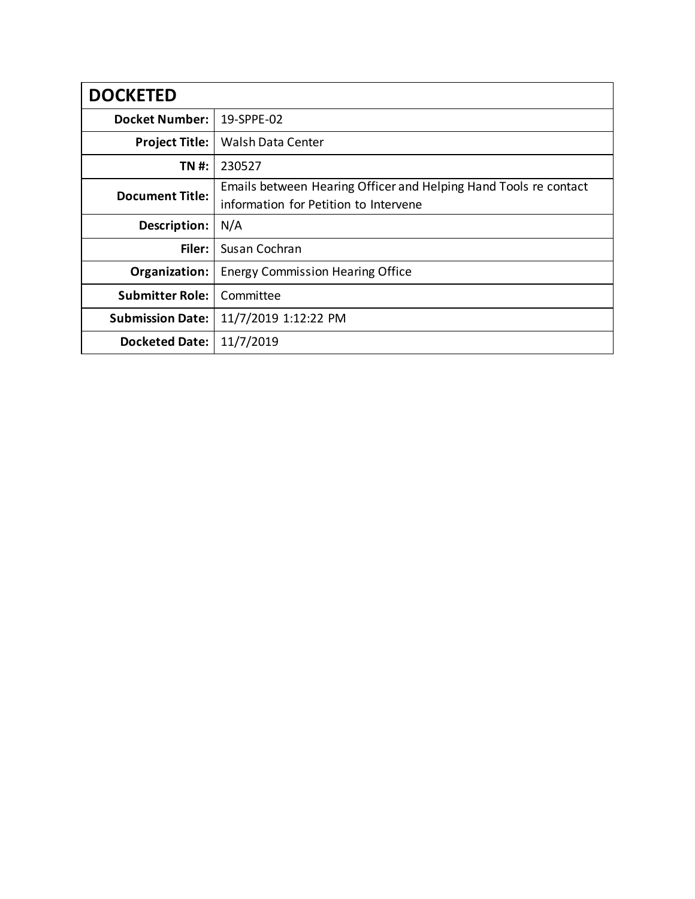| <b>DOCKETED</b>         |                                                                  |
|-------------------------|------------------------------------------------------------------|
| <b>Docket Number:</b>   | 19-SPPE-02                                                       |
| <b>Project Title:</b>   | <b>Walsh Data Center</b>                                         |
| TN #:                   | 230527                                                           |
| <b>Document Title:</b>  | Emails between Hearing Officer and Helping Hand Tools re contact |
|                         | information for Petition to Intervene                            |
| Description:            | N/A                                                              |
| Filer:                  | Susan Cochran                                                    |
| Organization:           | <b>Energy Commission Hearing Office</b>                          |
| <b>Submitter Role:</b>  | Committee                                                        |
| <b>Submission Date:</b> | 11/7/2019 1:12:22 PM                                             |
| <b>Docketed Date:</b>   | 11/7/2019                                                        |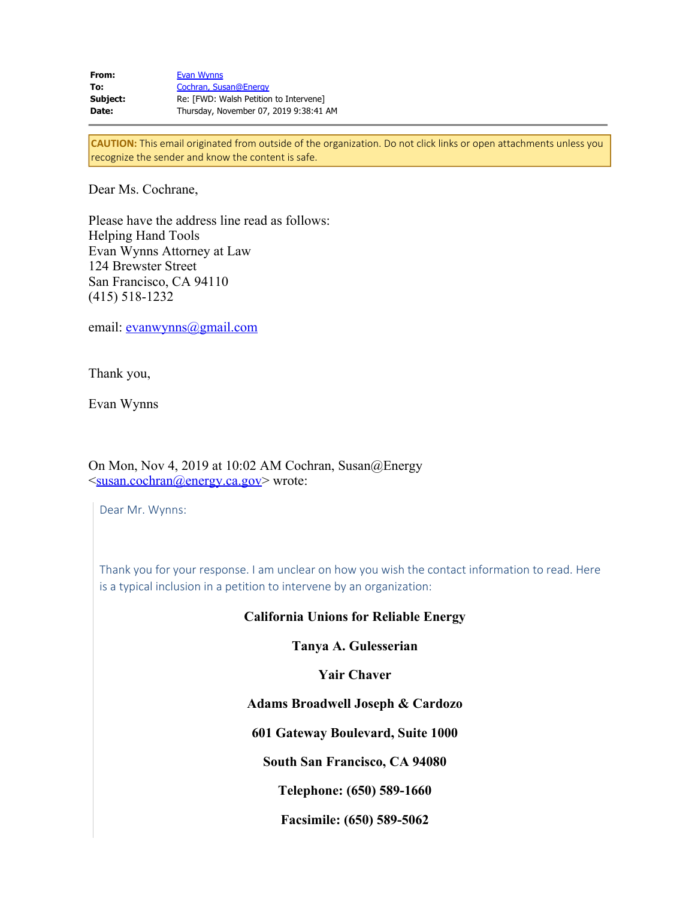| From:    | Evan Wynns                             |
|----------|----------------------------------------|
| To:      | Cochran, Susan@Energy                  |
| Subject: | Re: [FWD: Walsh Petition to Intervene] |
| Date:    | Thursday, November 07, 2019 9:38:41 AM |

**CAUTION:** This email originated from outside of the organization. Do not click links or open attachments unless you recognize the sender and know the content is safe.

Dear Ms. Cochrane,

Please have the address line read as follows: Helping Hand Tools Evan Wynns Attorney at Law 124 Brewster Street San Francisco, CA 94110 (415) 518-1232

email: <u>evanwynns@gmail.com</u>

Thank you,

Evan Wynns

On Mon, Nov 4, 2019 at 10:02 AM Cochran, Susan@Energy <[susan.cochran@energy.ca.gov>](mailto:susan.cochran@energy.ca.gov) wrote:

Dear Mr. Wynns:

Thank you for your response. I am unclear on how you wish the contact information to read. Here is a typical inclusion in a petition to intervene by an organization:

## **California Unions for Reliable Energy**

**Tanya A. Gulesserian**

**Yair Chaver**

**Adams Broadwell Joseph & Cardozo**

**601 Gateway Boulevard, Suite 1000**

**South San Francisco, CA 94080**

**Telephone: (650) 589-1660**

**Facsimile: (650) 589-5062**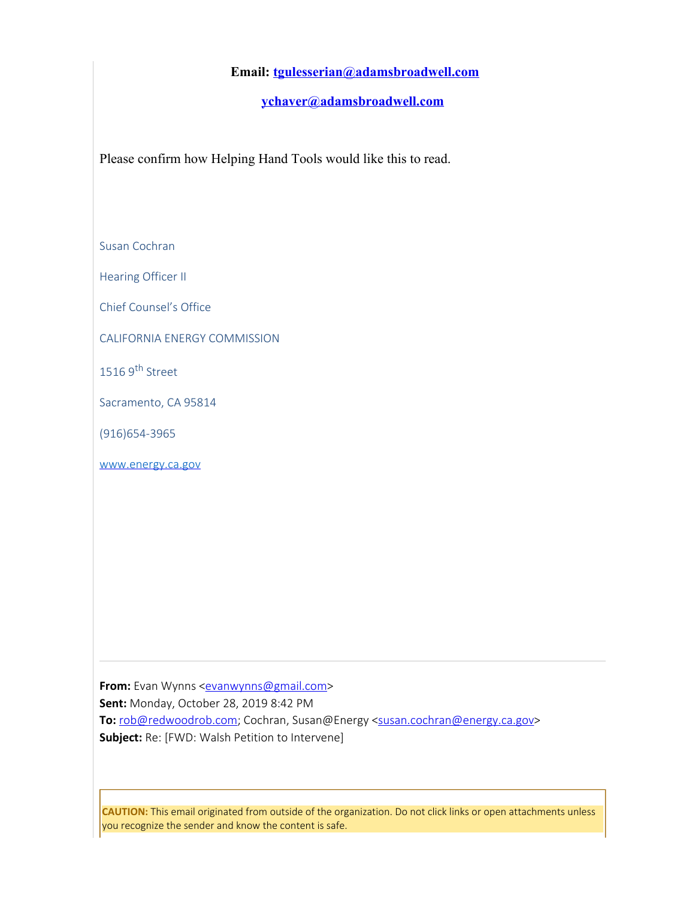## **Email: [tgulesserian@adamsbroadwell.com](mailto:tgulesserian@adamsbroadwell.com)**

**[ychaver@adamsbroadwell.com](mailto:ychaver@adamsbroadwell.com)**

Please confirm how Helping Hand Tools would like this to read.

Susan Cochran

Hearing Officer II

Chief Counsel's Office

CALIFORNIA ENERGY COMMISSION

1516 9<sup>th</sup> Street

Sacramento, CA 95814

(916)654-3965

[www.energy.ca.gov](https://gcc01.safelinks.protection.outlook.com/?url=http%3A%2F%2Fwww.energy.ca.gov&data=01%7C01%7C%7Cd3213e3cf7834f0c348e08d763a95251%7Cac3a124413f44ef68d1bbaa27148194e%7C0&sdata=Vi71Nn03IyjQ4sTv5Zg%2FGSiKUdj7iTC0MmBhfU7a0xk%3D&reserved=0)

From: Evan Wynns <**[evanwynns@gmail.com](mailto:evanwynns@gmail.com)> Sent:** Monday, October 28, 2019 8:42 PM **To:** [rob@redwoodrob.com](mailto:rob@redwoodrob.com); Cochran, Susan@Energy [<susan.cochran@energy.ca.gov](mailto:susan.cochran@energy.ca.gov)> **Subject:** Re: [FWD: Walsh Petition to Intervene]

**CAUTION:** This email originated from outside of the organization. Do not click links or open attachments unless you recognize the sender and know the content is safe.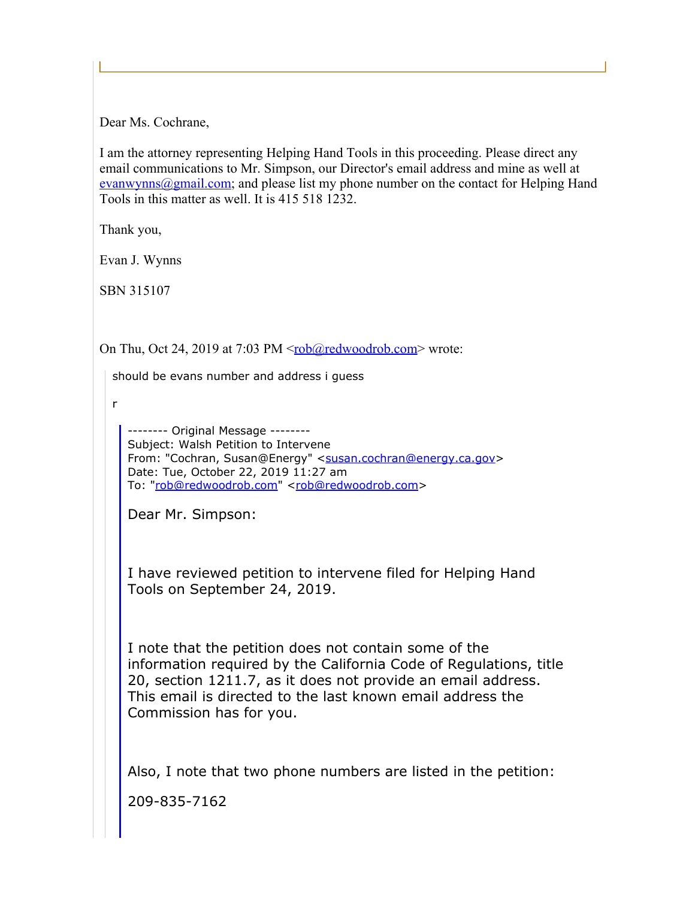Dear Ms. Cochrane,

I am the attorney representing Helping Hand Tools in this proceeding. Please direct any email communications to Mr. Simpson, our Director's email address and mine as well at  $evanwynns@gmail.com$ ; and please list my phone number on the contact for Helping Hand Tools in this matter as well. It is 415 518 1232.

Thank you,

Evan J. Wynns

SBN 315107

On Thu, Oct 24, 2019 at 7:03 PM <<u>rob@redwoodrob.com</u>> wrote:

should be evans number and address i guess

r

```
-------- Original Message --------
Subject: Walsh Petition to Intervene
susan.cochran@energy.ca.gov>
Date: Tue, October 22, 2019 11:27 am
rob@redwoodrob.com"<rob@redwoodrob.com>
```
Dear Mr. Simpson:

I have reviewed petition to intervene filed for Helping Hand Tools on September 24, 2019.

I note that the petition does not contain some of the information required by the California Code of Regulations, title 20, section 1211.7, as it does not provide an email address. This email is directed to the last known email address the Commission has for you.

Also, I note that two phone numbers are listed in the petition:

209-835-7162